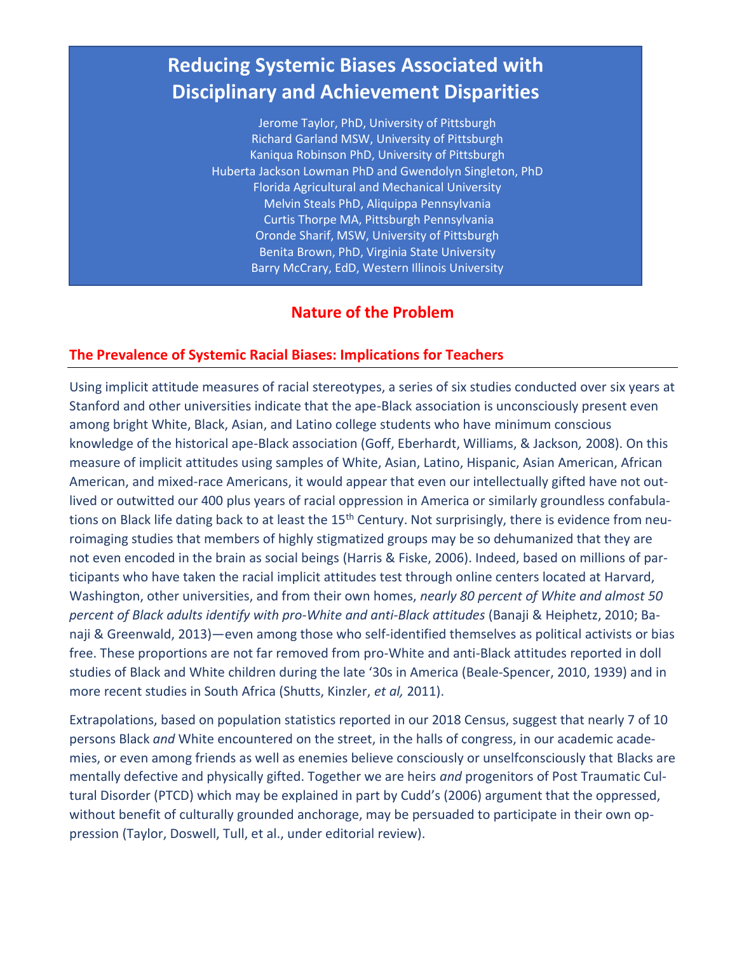# **Reducing Systemic Biases Associated with Disciplinary and Achievement Disparities**

Jerome Taylor, PhD, University of Pittsburgh Richard Garland MSW, University of Pittsburgh Kaniqua Robinson PhD, University of Pittsburgh Huberta Jackson Lowman PhD and Gwendolyn Singleton, PhD Florida Agricultural and Mechanical University Melvin Steals PhD, Aliquippa Pennsylvania Curtis Thorpe MA, Pittsburgh Pennsylvania Oronde Sharif, MSW, University of Pittsburgh Benita Brown, PhD, Virginia State University Barry McCrary, EdD, Western Illinois University

## **Nature of the Problem**

### **The Prevalence of Systemic Racial Biases: Implications for Teachers**

Using implicit attitude measures of racial stereotypes, a series of six studies conducted over six years at Stanford and other universities indicate that the ape-Black association is unconsciously present even among bright White, Black, Asian, and Latino college students who have minimum conscious knowledge of the historical ape-Black association (Goff, Eberhardt, Williams, & Jackson*,* 2008). On this measure of implicit attitudes using samples of White, Asian, Latino, Hispanic, Asian American, African American, and mixed-race Americans, it would appear that even our intellectually gifted have not outlived or outwitted our 400 plus years of racial oppression in America or similarly groundless confabulations on Black life dating back to at least the 15<sup>th</sup> Century. Not surprisingly, there is evidence from neuroimaging studies that members of highly stigmatized groups may be so dehumanized that they are not even encoded in the brain as social beings (Harris & Fiske, 2006). Indeed, based on millions of participants who have taken the racial implicit attitudes test through online centers located at Harvard, Washington, other universities, and from their own homes, *nearly 80 percent of White and almost 50 percent of Black adults identify with pro-White and anti-Black attitudes* (Banaji & Heiphetz, 2010; Banaji & Greenwald, 2013)—even among those who self-identified themselves as political activists or bias free. These proportions are not far removed from pro-White and anti-Black attitudes reported in doll studies of Black and White children during the late '30s in America (Beale-Spencer, 2010, 1939) and in more recent studies in South Africa (Shutts, Kinzler, *et al,* 2011).

Extrapolations, based on population statistics reported in our 2018 Census, suggest that nearly 7 of 10 persons Black *and* White encountered on the street, in the halls of congress, in our academic academies, or even among friends as well as enemies believe consciously or unselfconsciously that Blacks are mentally defective and physically gifted. Together we are heirs *and* progenitors of Post Traumatic Cultural Disorder (PTCD) which may be explained in part by Cudd's (2006) argument that the oppressed, without benefit of culturally grounded anchorage, may be persuaded to participate in their own oppression (Taylor, Doswell, Tull, et al., under editorial review).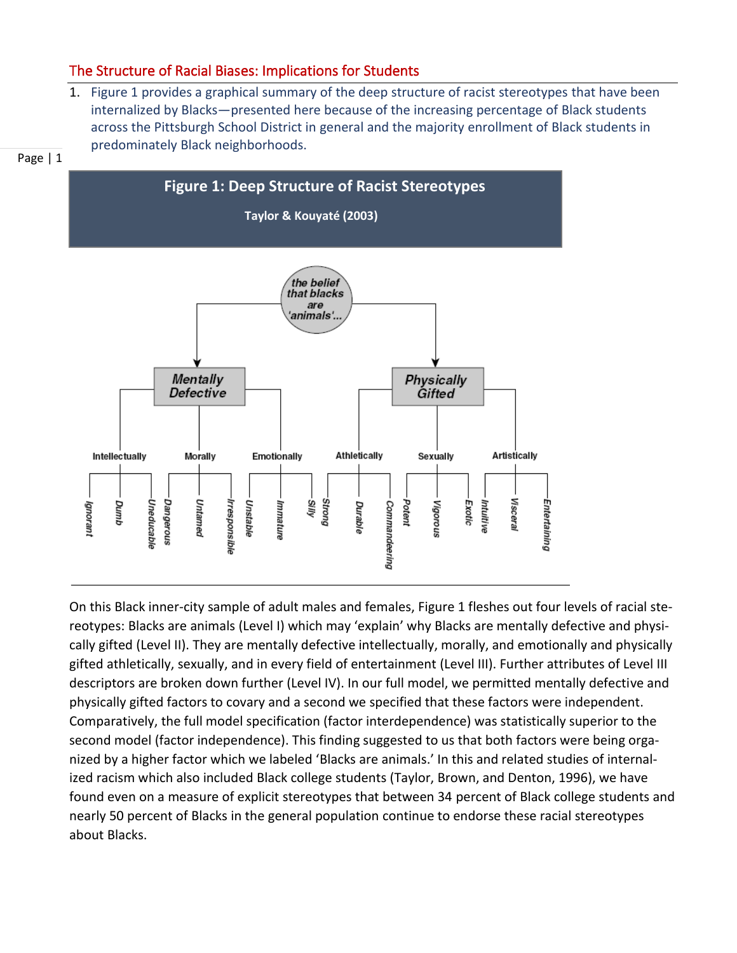## The Structure of Racial Biases: Implications for Students

1. Figure 1 provides a graphical summary of the deep structure of racist stereotypes that have been internalized by Blacks—presented here because of the increasing percentage of Black students across the Pittsburgh School District in general and the majority enrollment of Black students in predominately Black neighborhoods.





On this Black inner-city sample of adult males and females, Figure 1 fleshes out four levels of racial stereotypes: Blacks are animals (Level I) which may 'explain' why Blacks are mentally defective and physically gifted (Level II). They are mentally defective intellectually, morally, and emotionally and physically gifted athletically, sexually, and in every field of entertainment (Level III). Further attributes of Level III descriptors are broken down further (Level IV). In our full model, we permitted mentally defective and physically gifted factors to covary and a second we specified that these factors were independent. Comparatively, the full model specification (factor interdependence) was statistically superior to the second model (factor independence). This finding suggested to us that both factors were being organized by a higher factor which we labeled 'Blacks are animals.' In this and related studies of internalized racism which also included Black college students (Taylor, Brown, and Denton, 1996), we have found even on a measure of explicit stereotypes that between 34 percent of Black college students and nearly 50 percent of Blacks in the general population continue to endorse these racial stereotypes about Blacks.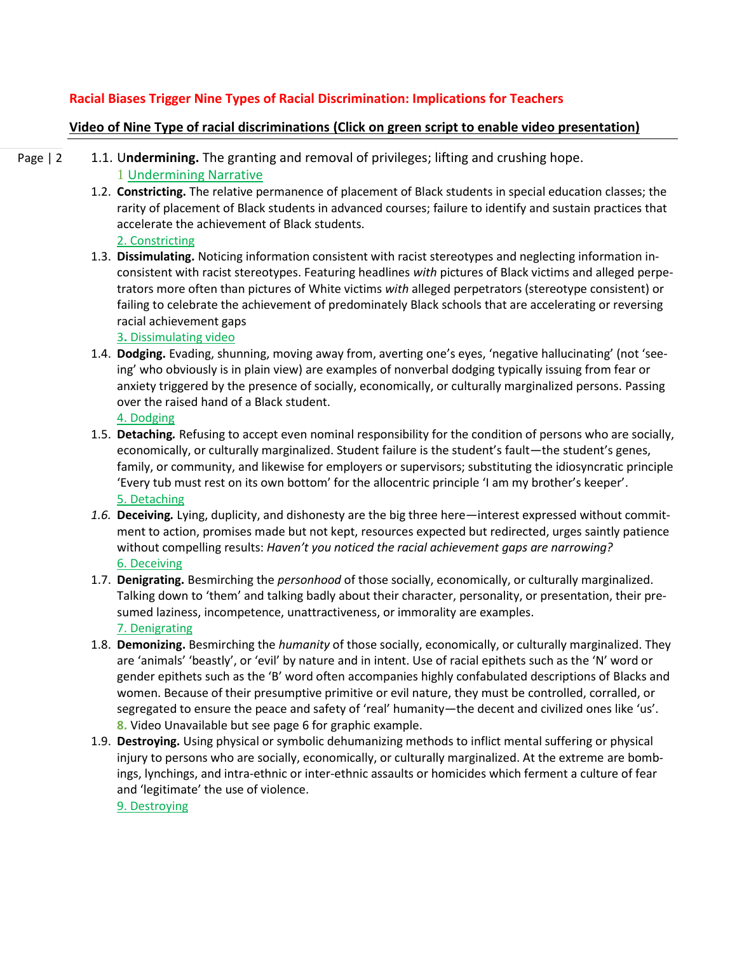### **Racial Biases Trigger Nine Types of Racial Discrimination: Implications for Teachers**

### **[Video of Nine Type of racial discriminations](https://www.youtube.com/watch?v=2gAmJtlLHgQ) (Click on green script to enable video presentation)**

Page | 2 1.1. U**ndermining.** The granting and removal of privileges; lifting and crushing hope. 1 [Undermining Narrative](https://www.youtube.com/watch?v=dWyGYOvlVJk)

- 1.2. **Constricting.** The relative permanence of placement of Black students in special education classes; the rarity of placement of Black students in advanced courses; failure to identify and sustain practices that accelerate the achievement of Black students.
	- [2. Constricting](https://www.youtube.com/watch?v=poeL0Tpcj0M)
- 1.3. **Dissimulating.** Noticing information consistent with racist stereotypes and neglecting information inconsistent with racist stereotypes. Featuring headlines *with* pictures of Black victims and alleged perpetrators more often than pictures of White victims *with* alleged perpetrators (stereotype consistent) or failing to celebrate the achievement of predominately Black schools that are accelerating or reversing racial achievement gaps

3**.** [Dissimulating video](https://www.youtube.com/watch?v=3N_KapOy8KA) 

1.4. **Dodging.** Evading, shunning, moving away from, averting one's eyes, 'negative hallucinating' (not 'seeing' who obviously is in plain view) are examples of nonverbal dodging typically issuing from fear or anxiety triggered by the presence of socially, economically, or culturally marginalized persons. Passing over the raised hand of a Black student.

[4. Dodging](https://www.youtube.com/watch?v=TVUhvswxIrU)

- 1.5. **Detaching***.* Refusing to accept even nominal responsibility for the condition of persons who are socially, economically, or culturally marginalized. Student failure is the student's fault—the student's genes, family, or community, and likewise for employers or supervisors; substituting the idiosyncratic principle 'Every tub must rest on its own bottom' for the allocentric principle 'I am my brother's keeper'. [5. Detaching](https://www.youtube.com/watch?v=TcF_s7TqVGU)
- *1.6.* **Deceiving***.* Lying, duplicity, and dishonesty are the big three here—interest expressed without commitment to action, promises made but not kept, resources expected but redirected, urges saintly patience without compelling results: *Haven't you noticed the racial achievement gaps are narrowing?* [6. Deceiving](https://www.youtube.com/watch?v=bn7udL-pbuM)
- 1.7. **Denigrating.** Besmirching the *personhood* of those socially, economically, or culturally marginalized. Talking down to 'them' and talking badly about their character, personality, or presentation, their presumed laziness, incompetence, unattractiveness, or immorality are examples. [7. Denigrating](https://www.youtube.com/watch?v=GiqTN0iLe-Q)
- 1.8. **Demonizing.** Besmirching the *humanity* of those socially, economically, or culturally marginalized. They are 'animals' 'beastly', or 'evil' by nature and in intent. Use of racial epithets such as the 'N' word or gender epithets such as the 'B' word often accompanies highly confabulated descriptions of Blacks and women. Because of their presumptive primitive or evil nature, they must be controlled, corralled, or segregated to ensure the peace and safety of 'real' humanity—the decent and civilized ones like 'us'. **8.** Video Unavailable but see page 6 for graphic example.
- 1.9. **Destroying.** Using physical or symbolic dehumanizing methods to inflict mental suffering or physical injury to persons who are socially, economically, or culturally marginalized. At the extreme are bombings, lynchings, and intra-ethnic or inter-ethnic assaults or homicides which ferment a culture of fear and 'legitimate' the use of violence. [9. Destroying](https://www.youtube.com/watch?v=F5AwPUIF0IA)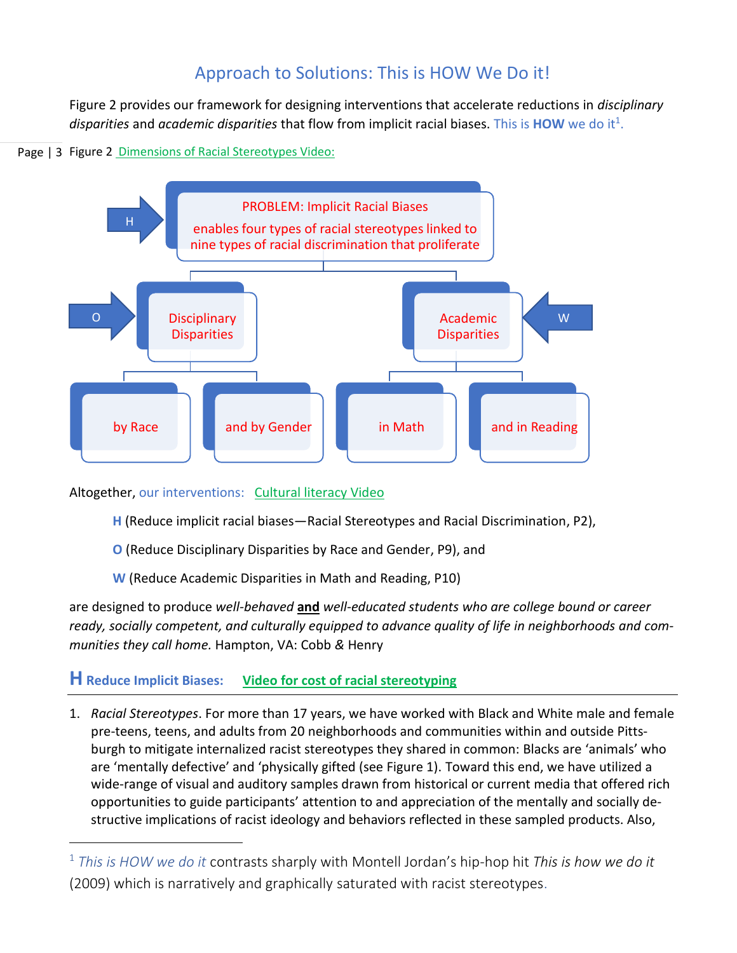# Approach to Solutions: This is HOW We Do it!

Figure 2 provides our framework for designing interventions that accelerate reductions in *disciplinary*  disparities and *academic disparities* that flow from implicit racial biases. This is **HOW** we do it<sup>1</sup>.

## Page | 3 Figure 2 **[Dimensions of Racial Stereotypes Video:](https://www.youtube.com/watch?v=jdlJeqze04I)**



Altogether, our interventions: [Cultural literacy Video](https://www.youtube.com/watch?v=bzhbKktJJN8)

- **H** (Reduce implicit racial biases—Racial Stereotypes and Racial Discrimination, P2),
- **O** (Reduce Disciplinary Disparities by Race and Gender, P9), and
- **W** (Reduce Academic Disparities in Math and Reading, P10)

are designed to produce *well-behaved* **and** *well-educated students who are college bound or career ready, socially competent, and culturally equipped to advance quality of life in neighborhoods and communities they call home.* Hampton, VA: Cobb *&* Henry

## **HReduce Implicit Biases: [Video for cost of racial stereotyping](https://www.youtube.com/watch?v=wtPqMGGh144)**

1. *Racial Stereotypes*. For more than 17 years, we have worked with Black and White male and female pre-teens, teens, and adults from 20 neighborhoods and communities within and outside Pittsburgh to mitigate internalized racist stereotypes they shared in common: Blacks are 'animals' who are 'mentally defective' and 'physically gifted (see Figure 1). Toward this end, we have utilized a wide-range of visual and auditory samples drawn from historical or current media that offered rich opportunities to guide participants' attention to and appreciation of the mentally and socially destructive implications of racist ideology and behaviors reflected in these sampled products. Also,

<sup>1</sup> *This is HOW we do it* contrasts sharply with Montell Jordan's hip-hop hit *This is how we do it* (2009) which is narratively and graphically saturated with racist stereotypes.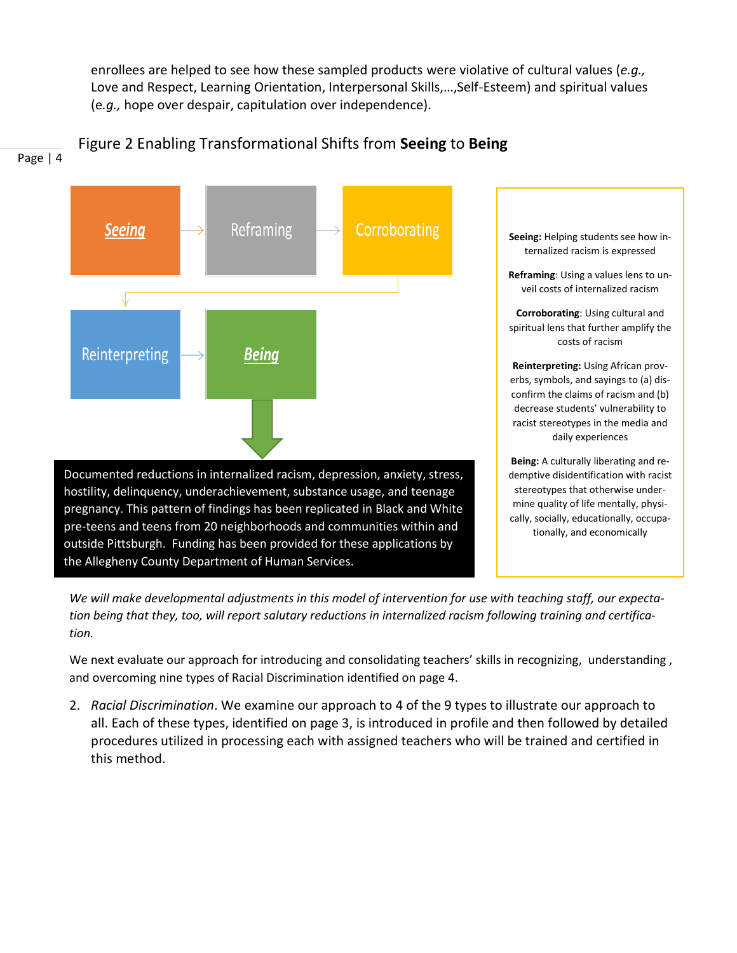enrollees are helped to see how these sampled products were violative of cultural values (*e.g.,* Love and Respect, Learning Orientation, Interpersonal Skills,…,Self-Esteem) and spiritual values (e*.g.,* hope over despair, capitulation over independence).





*We will make developmental adjustments in this model of intervention for use with teaching staff, our expectation being that they, too, will report salutary reductions in internalized racism following training and certification.*

We next evaluate our approach for introducing and consolidating teachers' skills in recognizing, understanding, and overcoming nine types of Racial Discrimination identified on page 4.

2. *Racial Discrimination*. We examine our approach to 4 of the 9 types to illustrate our approach to all. Each of these types, identified on page 3, is introduced in profile and then followed by detailed procedures utilized in processing each with assigned teachers who will be trained and certified in this method.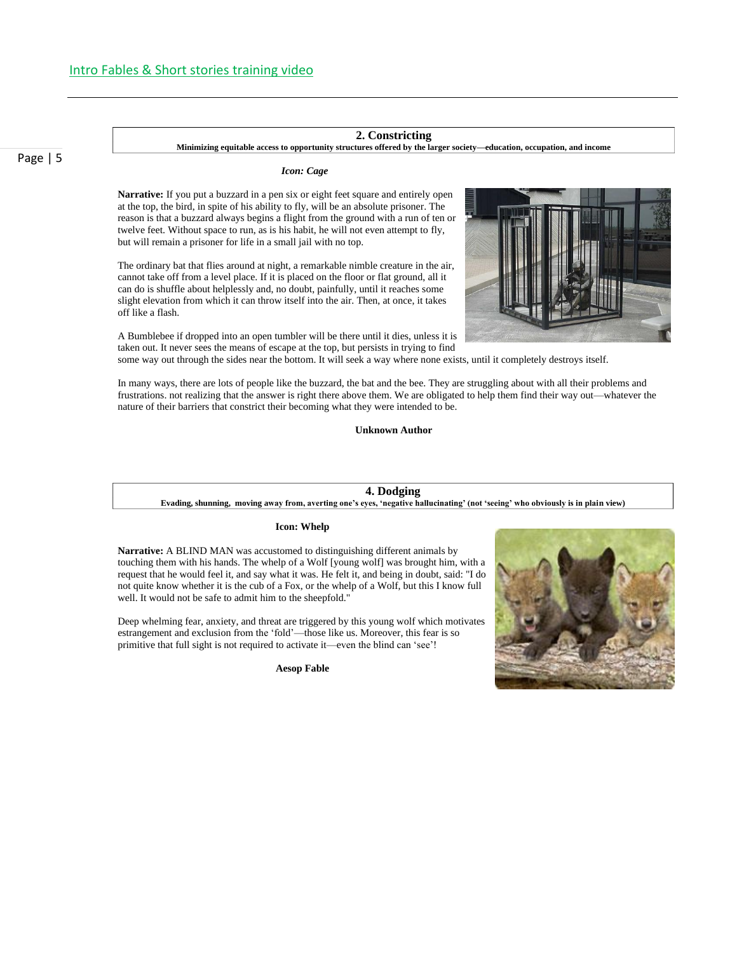Page | 5

### **2. Constricting**

**Minimizing equitable access to opportunity structures offered by the larger society—education, occupation, and income**

### *Icon: Cage*

**Narrative:** If you put a buzzard in a pen six or eight feet square and entirely open at the top, the bird, in spite of his ability to fly, will be an absolute prisoner. The reason is that a buzzard always begins a flight from the ground with a run of ten or twelve feet. Without space to run, as is his habit, he will not even attempt to fly, but will remain a prisoner for life in a small jail with no top.

The ordinary bat that flies around at night, a remarkable nimble creature in the air, cannot take off from a level place. If it is placed on the floor or flat ground, all it can do is shuffle about helplessly and, no doubt, painfully, until it reaches some slight elevation from which it can throw itself into the air. Then, at once, it takes off like a flash.

A Bumblebee if dropped into an open tumbler will be there until it dies, unless it is taken out. It never sees the means of escape at the top, but persists in trying to find

some way out through the sides near the bottom. It will seek a way where none exists, until it completely destroys itself.

In many ways, there are lots of people like the buzzard, the bat and the bee. They are struggling about with all their problems and frustrations. not realizing that the answer is right there above them. We are obligated to help them find their way out—whatever the nature of their barriers that constrict their becoming what they were intended to be.

**Unknown Author**

### **4. Dodging**

**Evading, shunning, moving away from, averting one's eyes, 'negative hallucinating' (not 'seeing' who obviously is in plain view)**

### **Icon: Whelp**

**Narrative:** A BLIND MAN was accustomed to distinguishing different animals by touching them with his hands. The whelp of a Wolf [young wolf] was brought him, with a request that he would feel it, and say what it was. He felt it, and being in doubt, said: "I do not quite know whether it is the cub of a Fox, or the whelp of a Wolf, but this I know full well. It would not be safe to admit him to the sheepfold."

Deep whelming fear, anxiety, and threat are triggered by this young wolf which motivates estrangement and exclusion from the 'fold'—those like us. Moreover, this fear is so primitive that full sight is not required to activate it—even the blind can 'see'!

**Aesop Fable**



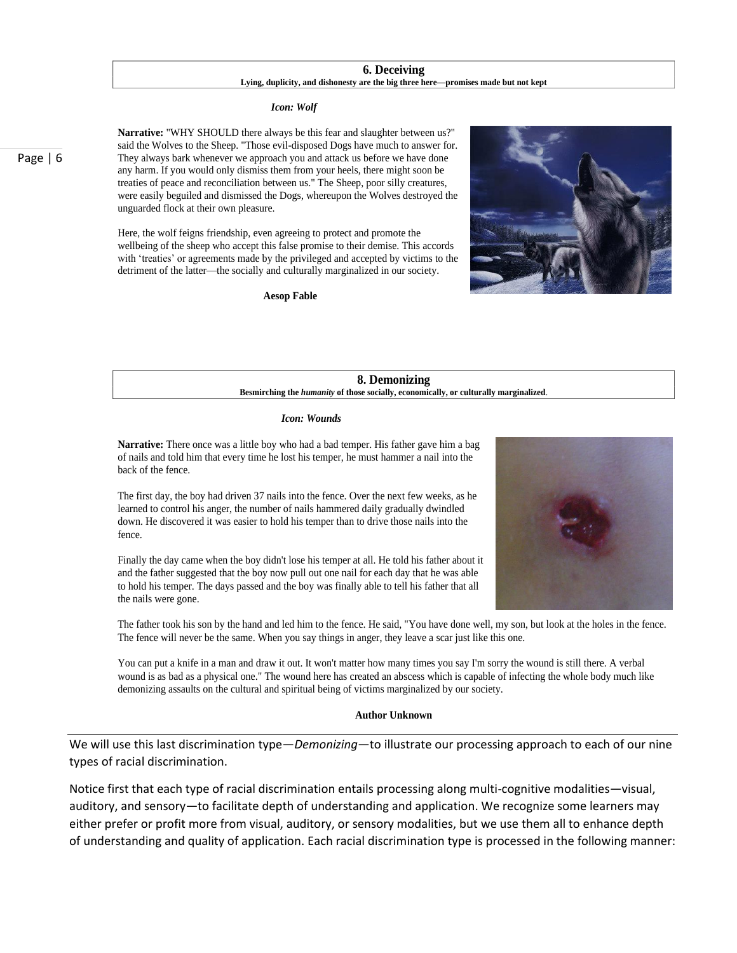### **6. Deceiving Lying, duplicity, and dishonesty are the big three here—promises made but not kept**

### *Icon: Wolf*

**Narrative:** "WHY SHOULD there always be this fear and slaughter between us?" said the Wolves to the Sheep. "Those evil-disposed Dogs have much to answer for. They always bark whenever we approach you and attack us before we have done any harm. If you would only dismiss them from your heels, there might soon be treaties of peace and reconciliation between us." The Sheep, poor silly creatures, were easily beguiled and dismissed the Dogs, whereupon the Wolves destroyed the unguarded flock at their own pleasure.

Here, the wolf feigns friendship, even agreeing to protect and promote the wellbeing of the sheep who accept this false promise to their demise. This accords with 'treaties' or agreements made by the privileged and accepted by victims to the detriment of the latter—the socially and culturally marginalized in our society.

**Aesop Fable**



### **8. Demonizing Besmirching the** *humanity* **of those socially, economically, or culturally marginalized**.

### *Icon: Wounds*

**Narrative:** There once was a little boy who had a bad temper. His father gave him a bag of nails and told him that every time he lost his temper, he must hammer a nail into the back of the fence.

The first day, the boy had driven 37 nails into the fence. Over the next few weeks, as he learned to control his anger, the number of nails hammered daily gradually dwindled down. He discovered it was easier to hold his temper than to drive those nails into the fence.

Finally the day came when the boy didn't lose his temper at all. He told his father about it and the father suggested that the boy now pull out one nail for each day that he was able to hold his temper. The days passed and the boy was finally able to tell his father that all the nails were gone.



You can put a knife in a man and draw it out. It won't matter how many times you say I'm sorry the wound is still there. A verbal wound is as bad as a physical one." The wound here has created an abscess which is capable of infecting the whole body much like demonizing assaults on the cultural and spiritual being of victims marginalized by our society.

### **Author Unknown**

We will use this last discrimination type—*Demonizing*—to illustrate our processing approach to each of our nine types of racial discrimination.

Notice first that each type of racial discrimination entails processing along multi-cognitive modalities—visual, auditory, and sensory—to facilitate depth of understanding and application. We recognize some learners may either prefer or profit more from visual, auditory, or sensory modalities, but we use them all to enhance depth of understanding and quality of application. Each racial discrimination type is processed in the following manner:

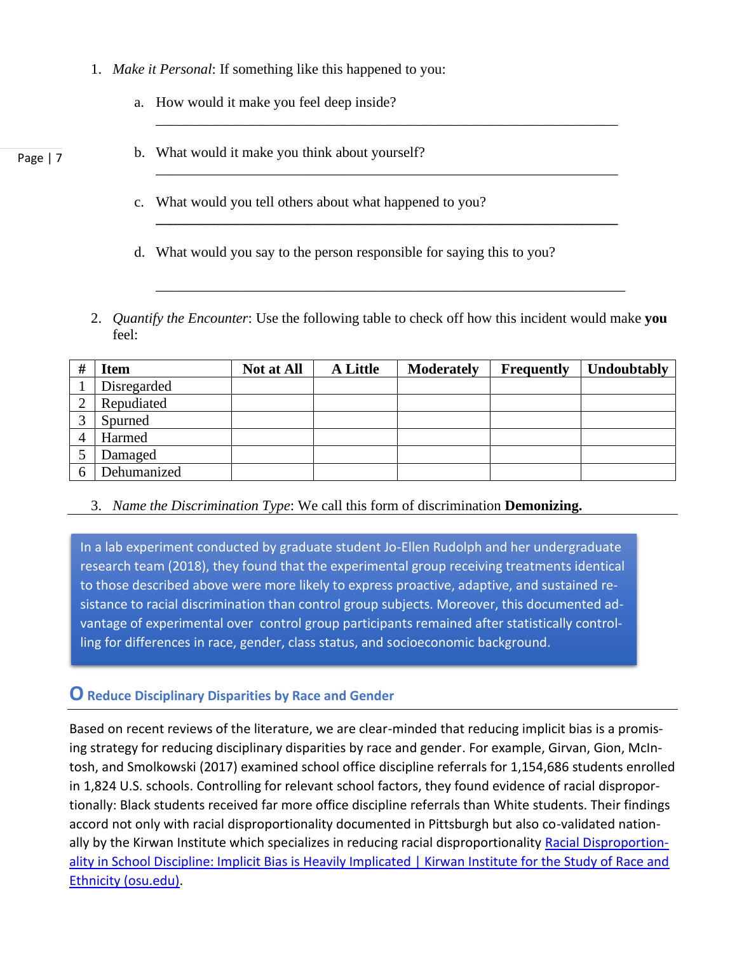- 1. *Make it Personal*: If something like this happened to you:
	- a. How would it make you feel deep inside?
- b. What would it make you think about yourself?
	- c. What would you tell others about what happened to you?
	- d. What would you say to the person responsible for saying this to you?
- 2. *Quantify the Encounter*: Use the following table to check off how this incident would make **you** feel:

\_\_\_\_\_\_\_\_\_\_\_\_\_\_\_\_\_\_\_\_\_\_\_\_\_\_\_\_\_\_\_\_\_\_\_\_\_\_\_\_\_\_\_\_\_\_\_\_\_\_\_\_\_\_\_\_\_\_\_\_\_\_\_\_

\_\_\_\_\_\_\_\_\_\_\_\_\_\_\_\_\_\_\_\_\_\_\_\_\_\_\_\_\_\_\_\_\_\_\_\_\_\_\_\_\_\_\_\_\_\_\_\_\_\_\_\_\_\_\_\_\_\_\_\_\_\_\_\_

**\_\_\_\_\_\_\_\_\_\_\_\_\_\_\_\_\_\_\_\_\_\_\_\_\_\_\_\_\_\_\_\_\_\_\_\_\_\_\_\_\_\_\_\_\_\_\_\_\_\_\_\_\_\_\_\_\_\_\_\_\_\_\_\_**

\_\_\_\_\_\_\_\_\_\_\_\_\_\_\_\_\_\_\_\_\_\_\_\_\_\_\_\_\_\_\_\_\_\_\_\_\_\_\_\_\_\_\_\_\_\_\_\_\_\_\_\_\_\_\_\_\_\_\_\_\_\_\_\_\_

| # | <b>Item</b> | <b>Not at All</b> | <b>A Little</b> | <b>Moderately</b> | <b>Frequently</b> | Undoubtably |
|---|-------------|-------------------|-----------------|-------------------|-------------------|-------------|
|   | Disregarded |                   |                 |                   |                   |             |
|   | Repudiated  |                   |                 |                   |                   |             |
|   | Spurned     |                   |                 |                   |                   |             |
|   | Harmed      |                   |                 |                   |                   |             |
|   | Damaged     |                   |                 |                   |                   |             |
|   | Dehumanized |                   |                 |                   |                   |             |

3. *Name the Discrimination Type*: We call this form of discrimination **Demonizing.**

In a lab experiment conducted by graduate student Jo-Ellen Rudolph and her undergraduate research team (2018), they found that the experimental group receiving treatments identical to those described above were more likely to express proactive, adaptive, and sustained resistance to racial discrimination than control group subjects. Moreover, this documented advantage of experimental over control group participants remained after statistically controlling for differences in race, gender, class status, and socioeconomic background.

## **OReduce Disciplinary Disparities by Race and Gender**

Based on recent reviews of the literature, we are clear-minded that reducing implicit bias is a promising strategy for reducing disciplinary disparities by race and gender. For example, Girvan, Gion, McIntosh, and Smolkowski (2017) examined school office discipline referrals for 1,154,686 students enrolled in 1,824 U.S. schools. Controlling for relevant school factors, they found evidence of racial disproportionally: Black students received far more office discipline referrals than White students. Their findings accord not only with racial disproportionality documented in Pittsburgh but also co-validated nation-ally by the Kirwan Institute which specializes in reducing racial disproportionality [Racial Disproportion](https://kirwaninstitute.osu.edu/article/racial-disproportionality-school-discipline-implicit-bias-heavily-implicated#:~:text=%E2%80%9CImplicit%20bias%E2%80%9D%20is%20heavily%20implicated%20as%20a%20contributing,on%20characteristics%20like%20race%2C%20ethnicity%2C%20age%20and%20appearance.)[ality in School Discipline: Implicit Bias is Heavily Implicated | Kirwan Institute for the Study of Race and](https://kirwaninstitute.osu.edu/article/racial-disproportionality-school-discipline-implicit-bias-heavily-implicated#:~:text=%E2%80%9CImplicit%20bias%E2%80%9D%20is%20heavily%20implicated%20as%20a%20contributing,on%20characteristics%20like%20race%2C%20ethnicity%2C%20age%20and%20appearance.)  [Ethnicity \(osu.edu\).](https://kirwaninstitute.osu.edu/article/racial-disproportionality-school-discipline-implicit-bias-heavily-implicated#:~:text=%E2%80%9CImplicit%20bias%E2%80%9D%20is%20heavily%20implicated%20as%20a%20contributing,on%20characteristics%20like%20race%2C%20ethnicity%2C%20age%20and%20appearance.)

Page | 7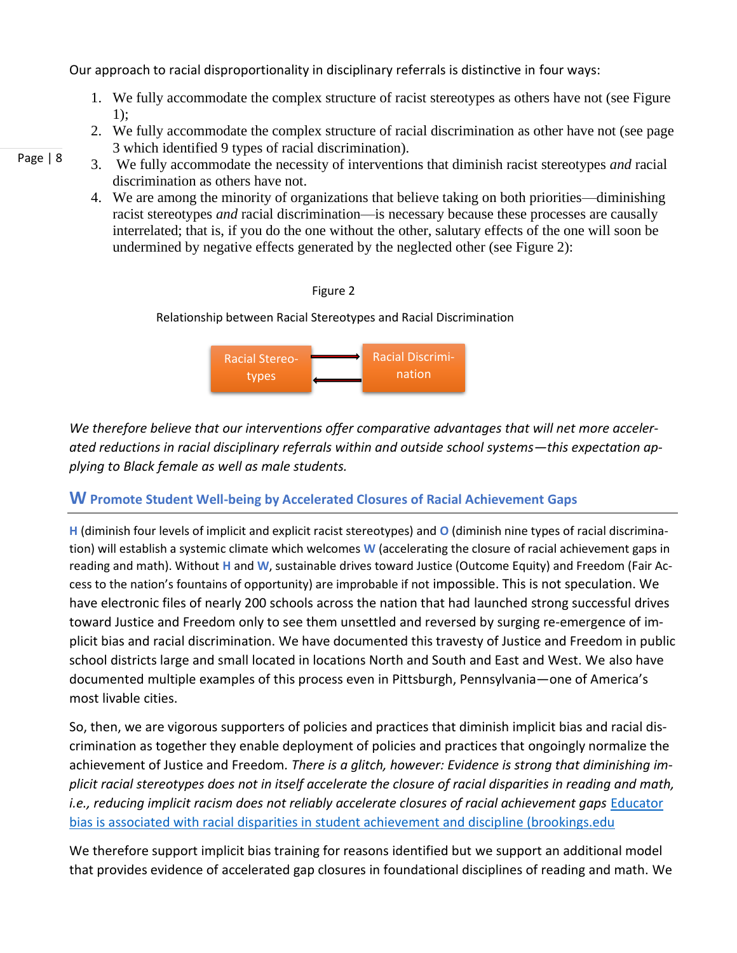Our approach to racial disproportionality in disciplinary referrals is distinctive in four ways:

- 1. We fully accommodate the complex structure of racist stereotypes as others have not (see Figure 1);
- 2. We fully accommodate the complex structure of racial discrimination as other have not (see page 3 which identified 9 types of racial discrimination).
- 3. We fully accommodate the necessity of interventions that diminish racist stereotypes *and* racial discrimination as others have not.
	- 4. We are among the minority of organizations that believe taking on both priorities—diminishing racist stereotypes *and* racial discrimination—is necessary because these processes are causally interrelated; that is, if you do the one without the other, salutary effects of the one will soon be undermined by negative effects generated by the neglected other (see Figure 2):



Relationship between Racial Stereotypes and Racial Discrimination



*We therefore believe that our interventions offer comparative advantages that will net more accelerated reductions in racial disciplinary referrals within and outside school systems—this expectation applying to Black female as well as male students.*

## **W Promote Student Well-being by Accelerated Closures of Racial Achievement Gaps**

**H** (diminish four levels of implicit and explicit racist stereotypes) and **O** (diminish nine types of racial discrimination) will establish a systemic climate which welcomes **W** (accelerating the closure of racial achievement gaps in reading and math). Without **H** and **W**, sustainable drives toward Justice (Outcome Equity) and Freedom (Fair Access to the nation's fountains of opportunity) are improbable if not impossible. This is not speculation. We have electronic files of nearly 200 schools across the nation that had launched strong successful drives toward Justice and Freedom only to see them unsettled and reversed by surging re-emergence of implicit bias and racial discrimination. We have documented this travesty of Justice and Freedom in public school districts large and small located in locations North and South and East and West. We also have documented multiple examples of this process even in Pittsburgh, Pennsylvania—one of America's most livable cities.

So, then, we are vigorous supporters of policies and practices that diminish implicit bias and racial discrimination as together they enable deployment of policies and practices that ongoingly normalize the achievement of Justice and Freedom*. There is a glitch, however: Evidence is strong that diminishing implicit racial stereotypes does not in itself accelerate the closure of racial disparities in reading and math, i.e., reducing implicit racism does not reliably accelerate closures of racial achievement gaps* [Educator](https://www.brookings.edu/blog/brown-center-chalkboard/2020/07/20/educator-bias-is-associated-with-racial-disparities-in-student-achievement-and-discipline/)  [bias is associated with racial disparities in student achievement and discipline \(brookings.edu](https://www.brookings.edu/blog/brown-center-chalkboard/2020/07/20/educator-bias-is-associated-with-racial-disparities-in-student-achievement-and-discipline/)

We therefore support implicit bias training for reasons identified but we support an additional model that provides evidence of accelerated gap closures in foundational disciplines of reading and math. We

Page | 8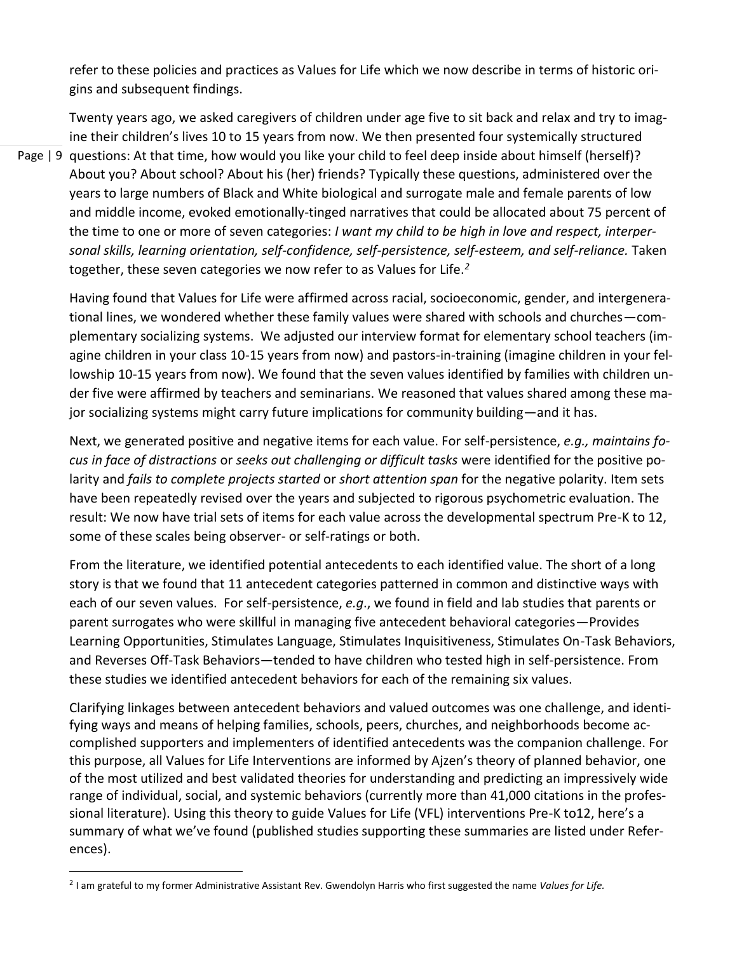refer to these policies and practices as Values for Life which we now describe in terms of historic origins and subsequent findings.

Page | 9 questions: At that time, how would you like your child to feel deep inside about himself (herself)? Twenty years ago, we asked caregivers of children under age five to sit back and relax and try to imagine their children's lives 10 to 15 years from now. We then presented four systemically structured About you? About school? About his (her) friends? Typically these questions, administered over the years to large numbers of Black and White biological and surrogate male and female parents of low and middle income, evoked emotionally-tinged narratives that could be allocated about 75 percent of the time to one or more of seven categories: *I want my child to be high in love and respect, interpersonal skills, learning orientation, self-confidence, self-persistence, self-esteem, and self-reliance.* Taken together, these seven categories we now refer to as Values for Life.*<sup>2</sup>*

Having found that Values for Life were affirmed across racial, socioeconomic, gender, and intergenerational lines, we wondered whether these family values were shared with schools and churches—complementary socializing systems. We adjusted our interview format for elementary school teachers (imagine children in your class 10-15 years from now) and pastors-in-training (imagine children in your fellowship 10-15 years from now). We found that the seven values identified by families with children under five were affirmed by teachers and seminarians. We reasoned that values shared among these major socializing systems might carry future implications for community building—and it has.

Next, we generated positive and negative items for each value. For self-persistence, *e.g., maintains focus in face of distractions* or *seeks out challenging or difficult tasks* were identified for the positive polarity and *fails to complete projects started* or *short attention span* for the negative polarity. Item sets have been repeatedly revised over the years and subjected to rigorous psychometric evaluation. The result: We now have trial sets of items for each value across the developmental spectrum Pre-K to 12, some of these scales being observer- or self-ratings or both.

From the literature, we identified potential antecedents to each identified value. The short of a long story is that we found that 11 antecedent categories patterned in common and distinctive ways with each of our seven values. For self-persistence, *e.g*., we found in field and lab studies that parents or parent surrogates who were skillful in managing five antecedent behavioral categories—Provides Learning Opportunities, Stimulates Language, Stimulates Inquisitiveness, Stimulates On-Task Behaviors, and Reverses Off-Task Behaviors—tended to have children who tested high in self-persistence. From these studies we identified antecedent behaviors for each of the remaining six values.

Clarifying linkages between antecedent behaviors and valued outcomes was one challenge, and identifying ways and means of helping families, schools, peers, churches, and neighborhoods become accomplished supporters and implementers of identified antecedents was the companion challenge. For this purpose, all Values for Life Interventions are informed by Ajzen's theory of planned behavior, one of the most utilized and best validated theories for understanding and predicting an impressively wide range of individual, social, and systemic behaviors (currently more than 41,000 citations in the professional literature). Using this theory to guide Values for Life (VFL) interventions Pre-K to12, here's a summary of what we've found (published studies supporting these summaries are listed under References).

<sup>2</sup> I am grateful to my former Administrative Assistant Rev. Gwendolyn Harris who first suggested the name *Values for Life.*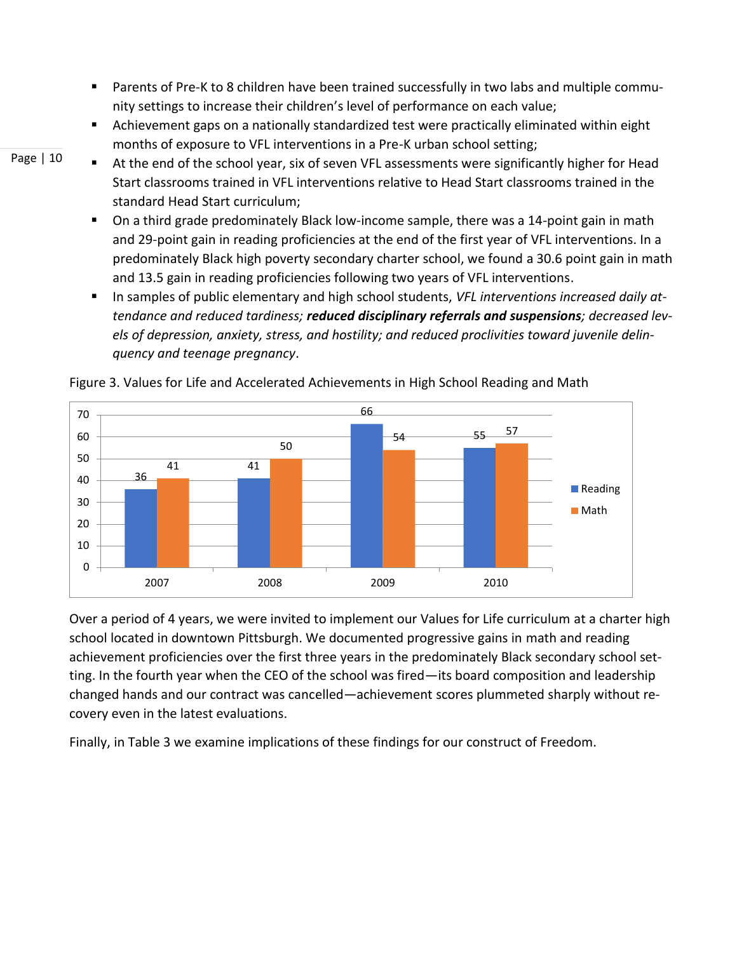- Parents of Pre-K to 8 children have been trained successfully in two labs and multiple community settings to increase their children's level of performance on each value;
- Achievement gaps on a nationally standardized test were practically eliminated within eight months of exposure to VFL interventions in a Pre-K urban school setting;
- Page | 10
- At the end of the school year, six of seven VFL assessments were significantly higher for Head Start classrooms trained in VFL interventions relative to Head Start classrooms trained in the standard Head Start curriculum;
- On a third grade predominately Black low-income sample, there was a 14-point gain in math and 29-point gain in reading proficiencies at the end of the first year of VFL interventions. In a predominately Black high poverty secondary charter school, we found a 30.6 point gain in math and 13.5 gain in reading proficiencies following two years of VFL interventions.
- In samples of public elementary and high school students, *VFL interventions increased daily attendance and reduced tardiness; reduced disciplinary referrals and suspensions; decreased levels of depression, anxiety, stress, and hostility; and reduced proclivities toward juvenile delinquency and teenage pregnancy*.



Figure 3. Values for Life and Accelerated Achievements in High School Reading and Math

Over a period of 4 years, we were invited to implement our Values for Life curriculum at a charter high school located in downtown Pittsburgh. We documented progressive gains in math and reading achievement proficiencies over the first three years in the predominately Black secondary school setting. In the fourth year when the CEO of the school was fired—its board composition and leadership changed hands and our contract was cancelled—achievement scores plummeted sharply without recovery even in the latest evaluations.

Finally, in Table 3 we examine implications of these findings for our construct of Freedom.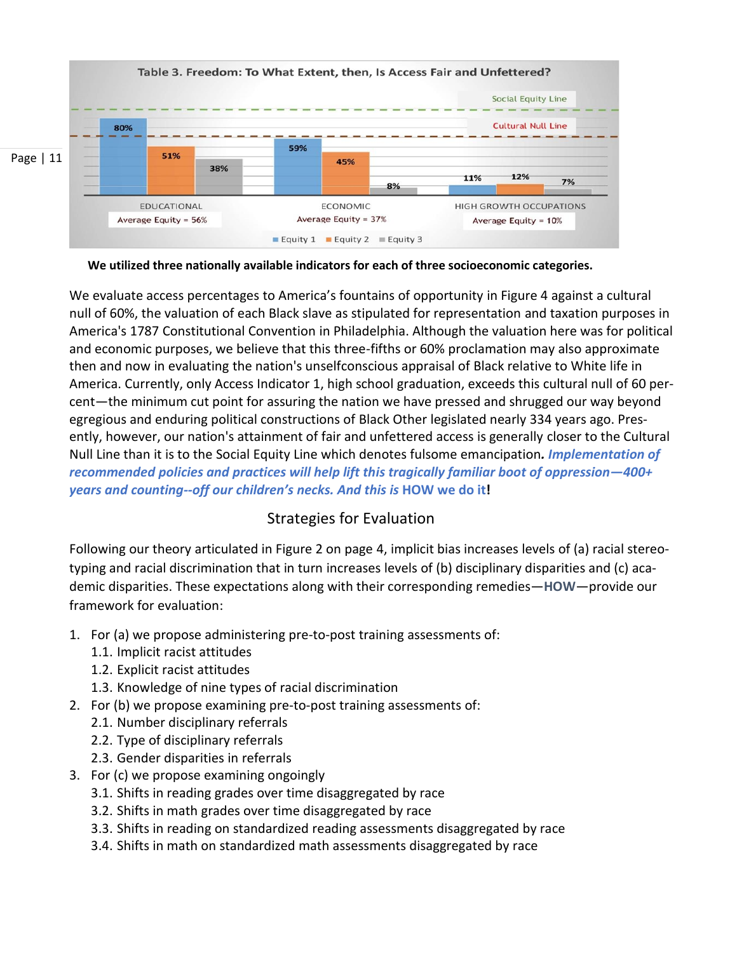

We utilized three nationally available indicators for each of three socioeconomic categories.

We evaluate access percentages to America's fountains of opportunity in Figure 4 against a cultural null of 60%, the valuation of each Black slave as stipulated for representation and taxation purposes in America's 1787 Constitutional Convention in Philadelphia. Although the valuation here was for political and economic purposes, we believe that this three-fifths or 60% proclamation may also approximate then and now in evaluating the nation's unselfconscious appraisal of Black relative to White life in America. Currently, only Access Indicator 1, high school graduation, exceeds this cultural null of 60 percent—the minimum cut point for assuring the nation we have pressed and shrugged our way beyond egregious and enduring political constructions of Black Other legislated nearly 334 years ago. Presently, however, our nation's attainment of fair and unfettered access is generally closer to the Cultural Null Line than it is to the Social Equity Line which denotes fulsome emancipation*. Implementation of recommended policies and practices will help lift this tragically familiar boot of oppression—400+ years and counting--off our children's necks. And this is* **HOW we do it!**

## Strategies for Evaluation

Following our theory articulated in Figure 2 on page 4, implicit bias increases levels of (a) racial stereotyping and racial discrimination that in turn increases levels of (b) disciplinary disparities and (c) academic disparities. These expectations along with their corresponding remedies—**HOW**—provide our framework for evaluation:

- 1. For (a) we propose administering pre-to-post training assessments of:
	- 1.1. Implicit racist attitudes
	- 1.2. Explicit racist attitudes
	- 1.3. Knowledge of nine types of racial discrimination
- 2. For (b) we propose examining pre-to-post training assessments of:
	- 2.1. Number disciplinary referrals
	- 2.2. Type of disciplinary referrals
	- 2.3. Gender disparities in referrals
- 3. For (c) we propose examining ongoingly
	- 3.1. Shifts in reading grades over time disaggregated by race
	- 3.2. Shifts in math grades over time disaggregated by race
	- 3.3. Shifts in reading on standardized reading assessments disaggregated by race
	- 3.4. Shifts in math on standardized math assessments disaggregated by race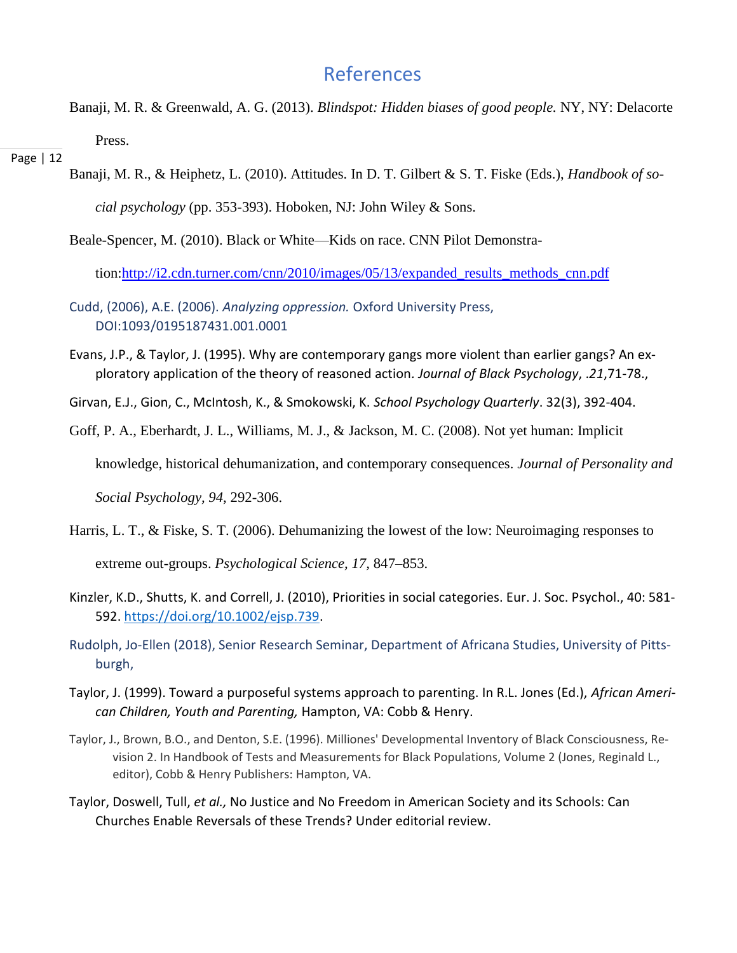## References

Banaji, M. R. & Greenwald, A. G. (2013). *Blindspot: Hidden biases of good people.* NY, NY: Delacorte Press.

### Page | 12

Banaji, M. R., & Heiphetz, L. (2010). Attitudes. In D. T. Gilbert & S. T. Fiske (Eds.), *Handbook of social psychology* (pp. 353-393). Hoboken, NJ: John Wiley & Sons.

Beale-Spencer, M. (2010). Black or White—Kids on race. CNN Pilot Demonstra-

tion[:http://i2.cdn.turner.com/cnn/2010/images/05/13/expanded\\_results\\_methods\\_cnn.pdf](http://i2.cdn.turner.com/cnn/2010/images/05/13/expanded_results_methods_cnn.pdf)

- Cudd, (2006), A.E. (2006). *Analyzing oppression.* Oxford University Press, DOI:1093/0195187431.001.0001
- Evans, J.P., & Taylor, J. (1995). Why are contemporary gangs more violent than earlier gangs? An exploratory application of the theory of reasoned action*. Journal of Black Psychology*, .*21*,71-78.,

Girvan, E.J., Gion, C., McIntosh, K., & Smokowski, K. *School Psychology Quarterly*. 32(3), 392-404.

Goff, P. A., Eberhardt, J. L., Williams, M. J., & Jackson, M. C. (2008). [Not yet human: Implicit](http://psychology.stanford.edu/~mcslab/PublicationPDFs/Not%20yet%20human.pdf) 

[knowledge, historical dehumanization, and contemporary consequences.](http://psychology.stanford.edu/~mcslab/PublicationPDFs/Not%20yet%20human.pdf) *Journal of Personality and* 

*Social Psychology, 94*, 292-306.

- Harris, L. T., & Fiske, S. T. (2006). Dehumanizing the lowest of the low: Neuroimaging responses to extreme out-groups. *Psychological Science, 17,* 847–853.
- Kinzler, K.D., Shutts, K. and Correll, J. (2010), Priorities in social categories. Eur. J. Soc. Psychol., 40: 581- 592. [https://doi.org/10.1002/ejsp.739.](https://doi.org/10.1002/ejsp.739)

Rudolph, Jo-Ellen (2018), Senior Research Seminar, Department of Africana Studies, University of Pittsburgh,

- Taylor, J. (1999). Toward a purposeful systems approach to parenting. In R.L. Jones (Ed.), *African American Children, Youth and Parenting,* Hampton, VA: Cobb & Henry.
- Taylor, J., Brown, B.O., and Denton, S.E. (1996). Milliones' Developmental Inventory of Black Consciousness, Revision 2. In Handbook of Tests and Measurements for Black Populations, Volume 2 (Jones, Reginald L., editor), Cobb & Henry Publishers: Hampton, VA.
- Taylor, Doswell, Tull, *et al.,* No Justice and No Freedom in American Society and its Schools: Can Churches Enable Reversals of these Trends? Under editorial review.